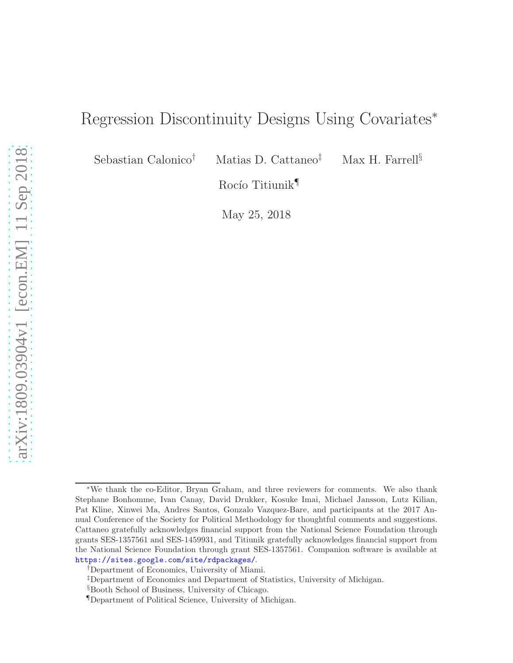## Regression Discontinuity Designs Using Covariates<sup>∗</sup>

Sebastian Calonico† Matias D. Cattaneo‡ Max H. Farrell§

Rocío Titiunik<sup>¶</sup>

May 25, 2018

arXiv:1809.03904v1 [econ.EM] 11 Sep 2018 [arXiv:1809.03904v1 \[econ.EM\] 11 Sep 2018](http://arxiv.org/abs/1809.03904v1)

<sup>∗</sup>We thank the co-Editor, Bryan Graham, and three reviewers for comments. We also thank Stephane Bonhomme, Ivan Canay, David Drukker, Kosuke Imai, Michael Jansson, Lutz Kilian, Pat Kline, Xinwei Ma, Andres Santos, Gonzalo Vazquez-Bare, and participants at the 2017 Annual Conference of the Society for Political Methodology for thoughtful comments and suggestions. Cattaneo gratefully acknowledges financial support from the National Science Foundation through grants SES-1357561 and SES-1459931, and Titiunik gratefully acknowledges financial support from the National Science Foundation through grant SES-1357561. Companion software is available at <https://sites.google.com/site/rdpackages/>.

<sup>†</sup>Department of Economics, University of Miami.

<sup>‡</sup>Department of Economics and Department of Statistics, University of Michigan.

<sup>§</sup>Booth School of Business, University of Chicago.

<sup>¶</sup>Department of Political Science, University of Michigan.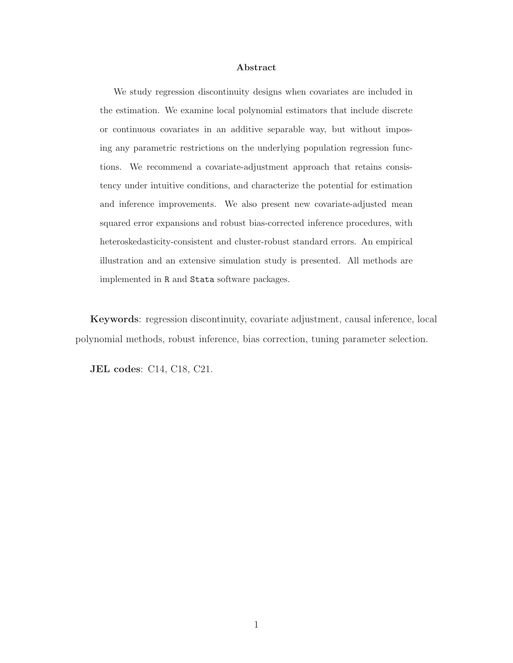#### Abstract

We study regression discontinuity designs when covariates are included in the estimation. We examine local polynomial estimators that include discrete or continuous covariates in an additive separable way, but without imposing any parametric restrictions on the underlying population regression functions. We recommend a covariate-adjustment approach that retains consistency under intuitive conditions, and characterize the potential for estimation and inference improvements. We also present new covariate-adjusted mean squared error expansions and robust bias-corrected inference procedures, with heteroskedasticity-consistent and cluster-robust standard errors. An empirical illustration and an extensive simulation study is presented. All methods are implemented in R and Stata software packages.

Keywords: regression discontinuity, covariate adjustment, causal inference, local polynomial methods, robust inference, bias correction, tuning parameter selection.

JEL codes: C14, C18, C21.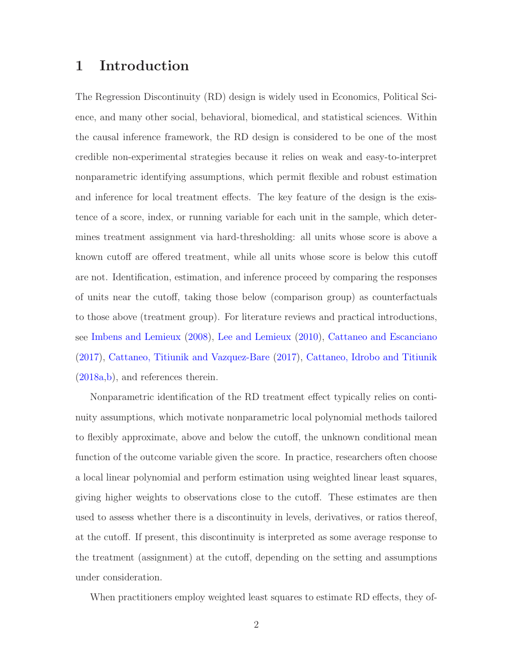## 1 Introduction

The Regression Discontinuity (RD) design is widely used in Economics, Political Science, and many other social, behavioral, biomedical, and statistical sciences. Within the causal inference framework, the RD design is considered to be one of the most credible non-experimental strategies because it relies on weak and easy-to-interpret nonparametric identifying assumptions, which permit flexible and robust estimation and inference for local treatment effects. The key feature of the design is the existence of a score, index, or running variable for each unit in the sample, which determines treatment assignment via hard-thresholding: all units whose score is above a known cutoff are offered treatment, while all units whose score is below this cutoff are not. Identification, estimation, and inference proceed by comparing the responses of units near the cutoff, taking those below (comparison group) as counterfactuals to those above (treatment group). For literature reviews and practical introductions, see [Imbens and Lemieux](#page-28-0) [\(2008](#page-28-0)), [Lee and Lemieux](#page-29-0) [\(2010\)](#page-29-0), [Cattaneo and Escanciano](#page-27-0) [\(2017\)](#page-27-0), [Cattaneo, Titiunik and Vazquez-Bare](#page-28-1) [\(2017\)](#page-28-1), [Cattaneo, Idrobo and Titiunik](#page-28-2) [\(2018a](#page-28-2)[,b\)](#page-28-3), and references therein.

Nonparametric identification of the RD treatment effect typically relies on continuity assumptions, which motivate nonparametric local polynomial methods tailored to flexibly approximate, above and below the cutoff, the unknown conditional mean function of the outcome variable given the score. In practice, researchers often choose a local linear polynomial and perform estimation using weighted linear least squares, giving higher weights to observations close to the cutoff. These estimates are then used to assess whether there is a discontinuity in levels, derivatives, or ratios thereof, at the cutoff. If present, this discontinuity is interpreted as some average response to the treatment (assignment) at the cutoff, depending on the setting and assumptions under consideration.

When practitioners employ weighted least squares to estimate RD effects, they of-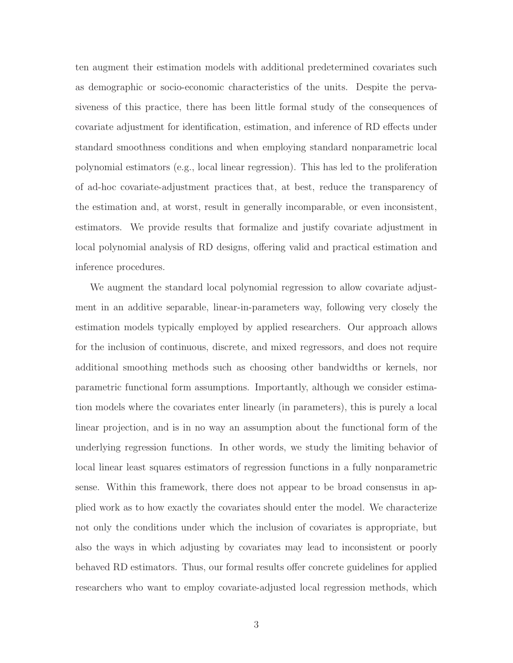ten augment their estimation models with additional predetermined covariates such as demographic or socio-economic characteristics of the units. Despite the pervasiveness of this practice, there has been little formal study of the consequences of covariate adjustment for identification, estimation, and inference of RD effects under standard smoothness conditions and when employing standard nonparametric local polynomial estimators (e.g., local linear regression). This has led to the proliferation of ad-hoc covariate-adjustment practices that, at best, reduce the transparency of the estimation and, at worst, result in generally incomparable, or even inconsistent, estimators. We provide results that formalize and justify covariate adjustment in local polynomial analysis of RD designs, offering valid and practical estimation and inference procedures.

We augment the standard local polynomial regression to allow covariate adjustment in an additive separable, linear-in-parameters way, following very closely the estimation models typically employed by applied researchers. Our approach allows for the inclusion of continuous, discrete, and mixed regressors, and does not require additional smoothing methods such as choosing other bandwidths or kernels, nor parametric functional form assumptions. Importantly, although we consider estimation models where the covariates enter linearly (in parameters), this is purely a local linear projection, and is in no way an assumption about the functional form of the underlying regression functions. In other words, we study the limiting behavior of local linear least squares estimators of regression functions in a fully nonparametric sense. Within this framework, there does not appear to be broad consensus in applied work as to how exactly the covariates should enter the model. We characterize not only the conditions under which the inclusion of covariates is appropriate, but also the ways in which adjusting by covariates may lead to inconsistent or poorly behaved RD estimators. Thus, our formal results offer concrete guidelines for applied researchers who want to employ covariate-adjusted local regression methods, which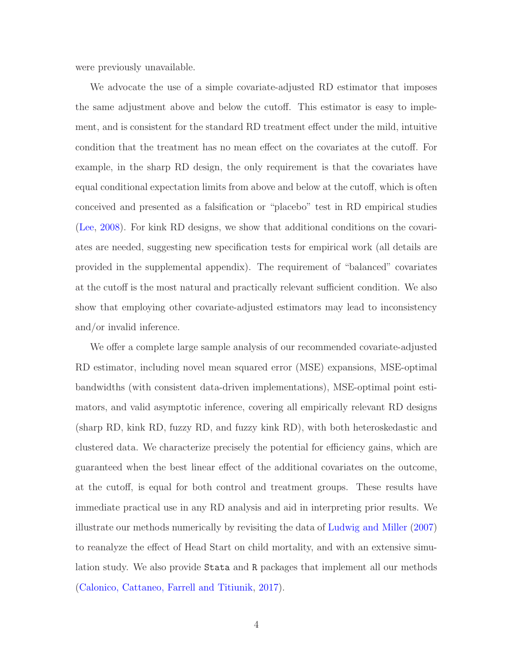were previously unavailable.

We advocate the use of a simple covariate-adjusted RD estimator that imposes the same adjustment above and below the cutoff. This estimator is easy to implement, and is consistent for the standard RD treatment effect under the mild, intuitive condition that the treatment has no mean effect on the covariates at the cutoff. For example, in the sharp RD design, the only requirement is that the covariates have equal conditional expectation limits from above and below at the cutoff, which is often conceived and presented as a falsification or "placebo" test in RD empirical studies [\(Lee](#page-29-1), [2008\)](#page-29-1). For kink RD designs, we show that additional conditions on the covariates are needed, suggesting new specification tests for empirical work (all details are provided in the supplemental appendix). The requirement of "balanced" covariates at the cutoff is the most natural and practically relevant sufficient condition. We also show that employing other covariate-adjusted estimators may lead to inconsistency and/or invalid inference.

We offer a complete large sample analysis of our recommended covariate-adjusted RD estimator, including novel mean squared error (MSE) expansions, MSE-optimal bandwidths (with consistent data-driven implementations), MSE-optimal point estimators, and valid asymptotic inference, covering all empirically relevant RD designs (sharp RD, kink RD, fuzzy RD, and fuzzy kink RD), with both heteroskedastic and clustered data. We characterize precisely the potential for efficiency gains, which are guaranteed when the best linear effect of the additional covariates on the outcome, at the cutoff, is equal for both control and treatment groups. These results have immediate practical use in any RD analysis and aid in interpreting prior results. We illustrate our methods numerically by revisiting the data of [Ludwig and Miller](#page-29-2) [\(2007\)](#page-29-2) to reanalyze the effect of Head Start on child mortality, and with an extensive simulation study. We also provide Stata and R packages that implement all our methods [\(Calonico, Cattaneo, Farrell and Titiunik,](#page-27-1) [2017\)](#page-27-1).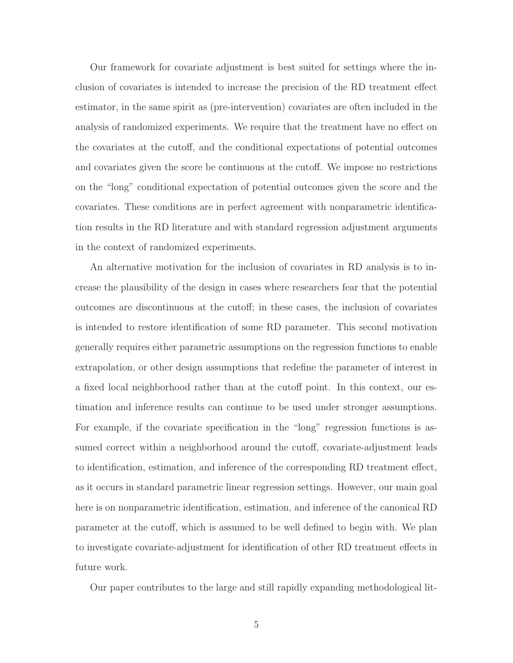Our framework for covariate adjustment is best suited for settings where the inclusion of covariates is intended to increase the precision of the RD treatment effect estimator, in the same spirit as (pre-intervention) covariates are often included in the analysis of randomized experiments. We require that the treatment have no effect on the covariates at the cutoff, and the conditional expectations of potential outcomes and covariates given the score be continuous at the cutoff. We impose no restrictions on the "long" conditional expectation of potential outcomes given the score and the covariates. These conditions are in perfect agreement with nonparametric identification results in the RD literature and with standard regression adjustment arguments in the context of randomized experiments.

An alternative motivation for the inclusion of covariates in RD analysis is to increase the plausibility of the design in cases where researchers fear that the potential outcomes are discontinuous at the cutoff; in these cases, the inclusion of covariates is intended to restore identification of some RD parameter. This second motivation generally requires either parametric assumptions on the regression functions to enable extrapolation, or other design assumptions that redefine the parameter of interest in a fixed local neighborhood rather than at the cutoff point. In this context, our estimation and inference results can continue to be used under stronger assumptions. For example, if the covariate specification in the "long" regression functions is assumed correct within a neighborhood around the cutoff, covariate-adjustment leads to identification, estimation, and inference of the corresponding RD treatment effect, as it occurs in standard parametric linear regression settings. However, our main goal here is on nonparametric identification, estimation, and inference of the canonical RD parameter at the cutoff, which is assumed to be well defined to begin with. We plan to investigate covariate-adjustment for identification of other RD treatment effects in future work.

Our paper contributes to the large and still rapidly expanding methodological lit-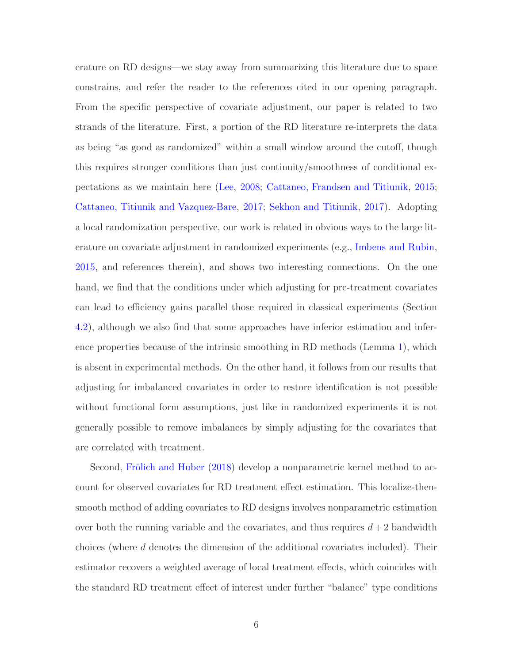erature on RD designs—we stay away from summarizing this literature due to space constrains, and refer the reader to the references cited in our opening paragraph. From the specific perspective of covariate adjustment, our paper is related to two strands of the literature. First, a portion of the RD literature re-interprets the data as being "as good as randomized" within a small window around the cutoff, though this requires stronger conditions than just continuity/smoothness of conditional expectations as we maintain here [\(Lee,](#page-29-1) [2008](#page-29-1); [Cattaneo, Frandsen and Titiunik](#page-27-2), [2015;](#page-27-2) [Cattaneo, Titiunik and Vazquez-Bare](#page-28-1), [2017;](#page-28-1) [Sekhon and Titiunik](#page-29-3), [2017\)](#page-29-3). Adopting a local randomization perspective, our work is related in obvious ways to the large literature on covariate adjustment in randomized experiments (e.g., [Imbens and Rubin,](#page-29-4) [2015,](#page-29-4) and references therein), and shows two interesting connections. On the one hand, we find that the conditions under which adjusting for pre-treatment covariates can lead to efficiency gains parallel those required in classical experiments (Section [4.2\)](#page-18-0), although we also find that some approaches have inferior estimation and inference properties because of the intrinsic smoothing in RD methods (Lemma [1\)](#page-12-0), which is absent in experimental methods. On the other hand, it follows from our results that adjusting for imbalanced covariates in order to restore identification is not possible without functional form assumptions, just like in randomized experiments it is not generally possible to remove imbalances by simply adjusting for the covariates that are correlated with treatment.

Second, Frölich and Huber [\(2018](#page-28-4)) develop a nonparametric kernel method to account for observed covariates for RD treatment effect estimation. This localize-thensmooth method of adding covariates to RD designs involves nonparametric estimation over both the running variable and the covariates, and thus requires  $d+2$  bandwidth choices (where d denotes the dimension of the additional covariates included). Their estimator recovers a weighted average of local treatment effects, which coincides with the standard RD treatment effect of interest under further "balance" type conditions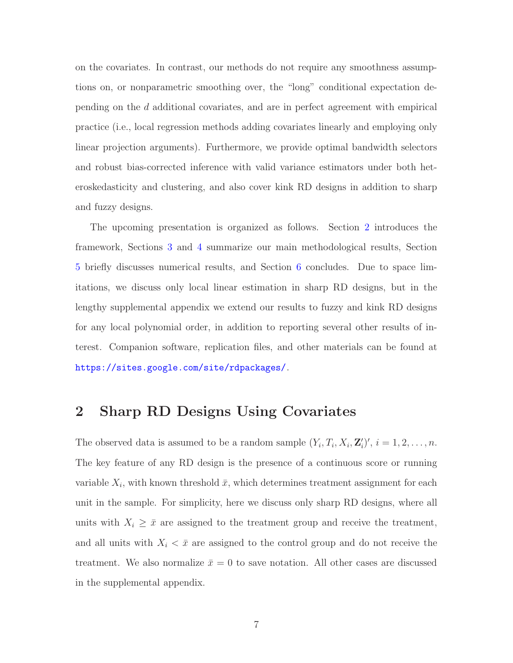on the covariates. In contrast, our methods do not require any smoothness assumptions on, or nonparametric smoothing over, the "long" conditional expectation depending on the d additional covariates, and are in perfect agreement with empirical practice (i.e., local regression methods adding covariates linearly and employing only linear projection arguments). Furthermore, we provide optimal bandwidth selectors and robust bias-corrected inference with valid variance estimators under both heteroskedasticity and clustering, and also cover kink RD designs in addition to sharp and fuzzy designs.

The upcoming presentation is organized as follows. Section [2](#page-7-0) introduces the framework, Sections [3](#page-12-1) and [4](#page-15-0) summarize our main methodological results, Section [5](#page-23-0) briefly discusses numerical results, and Section [6](#page-26-0) concludes. Due to space limitations, we discuss only local linear estimation in sharp RD designs, but in the lengthy supplemental appendix we extend our results to fuzzy and kink RD designs for any local polynomial order, in addition to reporting several other results of interest. Companion software, replication files, and other materials can be found at <https://sites.google.com/site/rdpackages/>.

## <span id="page-7-0"></span>2 Sharp RD Designs Using Covariates

The observed data is assumed to be a random sample  $(Y_i, T_i, X_i, \mathbf{Z}_i)$  $'_{i})', i = 1, 2, \ldots, n.$ The key feature of any RD design is the presence of a continuous score or running variable  $X_i$ , with known threshold  $\bar{x}$ , which determines treatment assignment for each unit in the sample. For simplicity, here we discuss only sharp RD designs, where all units with  $X_i \geq \bar{x}$  are assigned to the treatment group and receive the treatment, and all units with  $X_i < \bar{x}$  are assigned to the control group and do not receive the treatment. We also normalize  $\bar{x} = 0$  to save notation. All other cases are discussed in the supplemental appendix.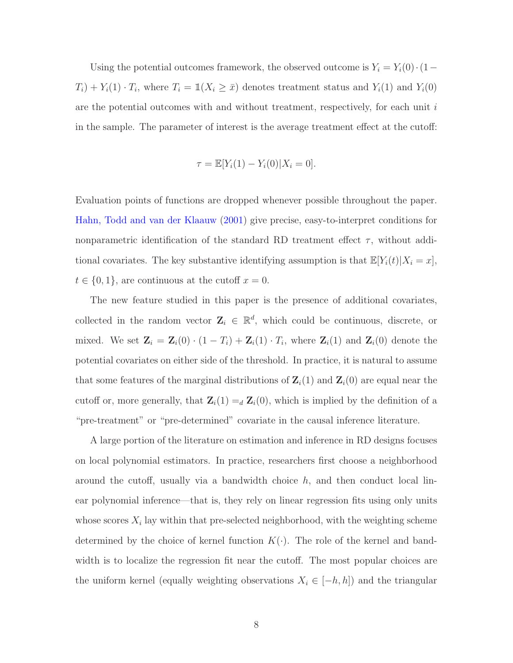Using the potential outcomes framework, the observed outcome is  $Y_i = Y_i(0) \cdot (1 T_i$ ) +  $Y_i(1) \cdot T_i$ , where  $T_i = \mathbb{1}(X_i \geq \bar{x})$  denotes treatment status and  $Y_i(1)$  and  $Y_i(0)$ are the potential outcomes with and without treatment, respectively, for each unit  $i$ in the sample. The parameter of interest is the average treatment effect at the cutoff:

$$
\tau = \mathbb{E}[Y_i(1) - Y_i(0)|X_i = 0].
$$

Evaluation points of functions are dropped whenever possible throughout the paper. [Hahn, Todd and van der Klaauw](#page-28-5) [\(2001\)](#page-28-5) give precise, easy-to-interpret conditions for nonparametric identification of the standard RD treatment effect  $\tau$ , without additional covariates. The key substantive identifying assumption is that  $\mathbb{E}[Y_i(t)|X_i = x]$ ,  $t \in \{0, 1\}$ , are continuous at the cutoff  $x = 0$ .

The new feature studied in this paper is the presence of additional covariates, collected in the random vector  $\mathbf{Z}_i \in \mathbb{R}^d$ , which could be continuous, discrete, or mixed. We set  $\mathbf{Z}_i = \mathbf{Z}_i(0) \cdot (1 - T_i) + \mathbf{Z}_i(1) \cdot T_i$ , where  $\mathbf{Z}_i(1)$  and  $\mathbf{Z}_i(0)$  denote the potential covariates on either side of the threshold. In practice, it is natural to assume that some features of the marginal distributions of  $\mathbf{Z}_i(1)$  and  $\mathbf{Z}_i(0)$  are equal near the cutoff or, more generally, that  $\mathbf{Z}_i(1) =_d \mathbf{Z}_i(0)$ , which is implied by the definition of a "pre-treatment" or "pre-determined" covariate in the causal inference literature.

A large portion of the literature on estimation and inference in RD designs focuses on local polynomial estimators. In practice, researchers first choose a neighborhood around the cutoff, usually via a bandwidth choice  $h$ , and then conduct local linear polynomial inference—that is, they rely on linear regression fits using only units whose scores  $X_i$  lay within that pre-selected neighborhood, with the weighting scheme determined by the choice of kernel function  $K(\cdot)$ . The role of the kernel and bandwidth is to localize the regression fit near the cutoff. The most popular choices are the uniform kernel (equally weighting observations  $X_i \in [-h, h]$ ) and the triangular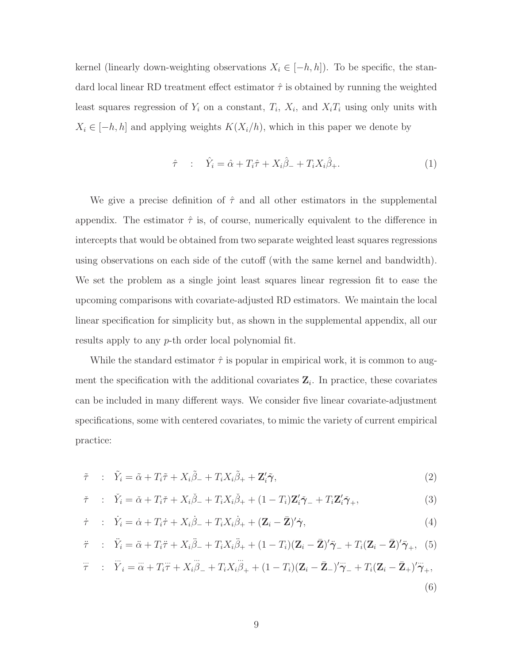kernel (linearly down-weighting observations  $X_i \in [-h, h]$ ). To be specific, the standard local linear RD treatment effect estimator  $\hat{\tau}$  is obtained by running the weighted least squares regression of  $Y_i$  on a constant,  $T_i$ ,  $X_i$ , and  $X_iT_i$  using only units with  $X_i \in [-h, h]$  and applying weights  $K(X_i/h)$ , which in this paper we denote by

<span id="page-9-2"></span>
$$
\hat{\tau} : \quad \hat{Y}_i = \hat{\alpha} + T_i \hat{\tau} + X_i \hat{\beta}_- + T_i X_i \hat{\beta}_+.
$$
\n<sup>(1)</sup>

We give a precise definition of  $\hat{\tau}$  and all other estimators in the supplemental appendix. The estimator  $\hat{\tau}$  is, of course, numerically equivalent to the difference in intercepts that would be obtained from two separate weighted least squares regressions using observations on each side of the cutoff (with the same kernel and bandwidth). We set the problem as a single joint least squares linear regression fit to ease the upcoming comparisons with covariate-adjusted RD estimators. We maintain the local linear specification for simplicity but, as shown in the supplemental appendix, all our results apply to any p-th order local polynomial fit.

While the standard estimator  $\hat{\tau}$  is popular in empirical work, it is common to augment the specification with the additional covariates  $\mathbf{Z}_i$ . In practice, these covariates can be included in many different ways. We consider five linear covariate-adjustment specifications, some with centered covariates, to mimic the variety of current empirical practice:

<span id="page-9-0"></span>
$$
\tilde{\tau} : \tilde{Y}_i = \tilde{\alpha} + T_i \tilde{\tau} + X_i \tilde{\beta}_- + T_i X_i \tilde{\beta}_+ + \mathbf{Z}_i' \tilde{\gamma}, \qquad (2)
$$

$$
\check{\tau} \quad : \quad \check{Y}_i = \check{\alpha} + T_i \check{\tau} + X_i \check{\beta}_- + T_i X_i \check{\beta}_+ + (1 - T_i) \mathbf{Z}_i' \check{\gamma}_- + T_i \mathbf{Z}_i' \check{\gamma}_+, \tag{3}
$$

$$
\dot{\tau} \quad : \quad \dot{Y}_i = \dot{\alpha} + T_i \dot{\tau} + X_i \dot{\beta}_- + T_i X_i \dot{\beta}_+ + (\mathbf{Z}_i - \mathbf{\bar{Z}})' \dot{\boldsymbol{\gamma}}, \tag{4}
$$

$$
\ddot{\tau} \quad : \quad \ddot{Y}_i = \ddot{\alpha} + T_i \ddot{\tau} + X_i \ddot{\beta}_- + T_i X_i \ddot{\beta}_+ + (1 - T_i) (\mathbf{Z}_i - \bar{\mathbf{Z}})' \ddot{\boldsymbol{\gamma}}_- + T_i (\mathbf{Z}_i - \bar{\mathbf{Z}})' \ddot{\boldsymbol{\gamma}}_+, \tag{5}
$$

<span id="page-9-1"></span>
$$
\ddot{\tau} \quad : \quad \ddot{Y}_i = \ddot{\alpha} + T_i \ddot{\tau} + X_i \ddot{\beta}_- + T_i X_i \ddot{\beta}_+ + (1 - T_i) (\mathbf{Z}_i - \bar{\mathbf{Z}}_-)' \ddot{\mathbf{\gamma}}_- + T_i (\mathbf{Z}_i - \bar{\mathbf{Z}}_+)'\ddot{\mathbf{\gamma}}_+, \tag{6}
$$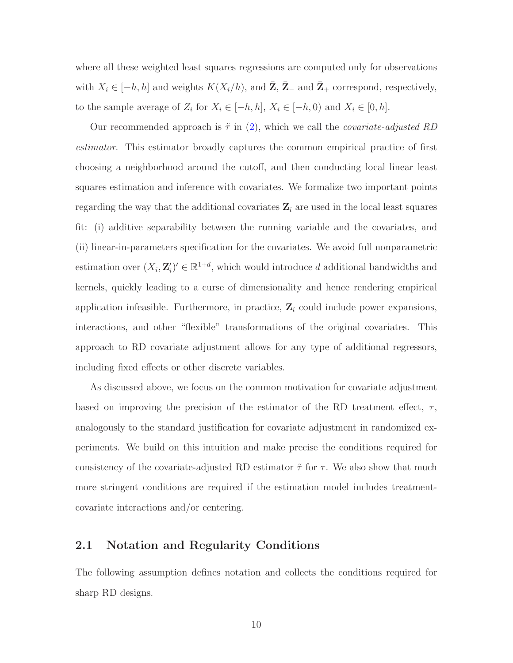where all these weighted least squares regressions are computed only for observations with  $X_i \in [-h, h]$  and weights  $K(X_i/h)$ , and  $\bar{Z}, \bar{Z}_-$  and  $\bar{Z}_+$  correspond, respectively, to the sample average of  $Z_i$  for  $X_i \in [-h, h]$ ,  $X_i \in [-h, 0)$  and  $X_i \in [0, h]$ .

Our recommended approach is  $\tilde{\tau}$  in [\(2\)](#page-9-0), which we call the *covariate-adjusted RD* estimator. This estimator broadly captures the common empirical practice of first choosing a neighborhood around the cutoff, and then conducting local linear least squares estimation and inference with covariates. We formalize two important points regarding the way that the additional covariates  $\mathbf{Z}_i$  are used in the local least squares fit: (i) additive separability between the running variable and the covariates, and (ii) linear-in-parameters specification for the covariates. We avoid full nonparametric estimation over  $(X_i, \mathbf{Z}'_i)$  $(i)' \in \mathbb{R}^{1+d}$ , which would introduce d additional bandwidths and kernels, quickly leading to a curse of dimensionality and hence rendering empirical application infeasible. Furthermore, in practice,  $\mathbf{Z}_i$  could include power expansions, interactions, and other "flexible" transformations of the original covariates. This approach to RD covariate adjustment allows for any type of additional regressors, including fixed effects or other discrete variables.

As discussed above, we focus on the common motivation for covariate adjustment based on improving the precision of the estimator of the RD treatment effect,  $\tau$ , analogously to the standard justification for covariate adjustment in randomized experiments. We build on this intuition and make precise the conditions required for consistency of the covariate-adjusted RD estimator  $\tilde{\tau}$  for  $\tau$ . We also show that much more stringent conditions are required if the estimation model includes treatmentcovariate interactions and/or centering.

#### 2.1 Notation and Regularity Conditions

The following assumption defines notation and collects the conditions required for sharp RD designs.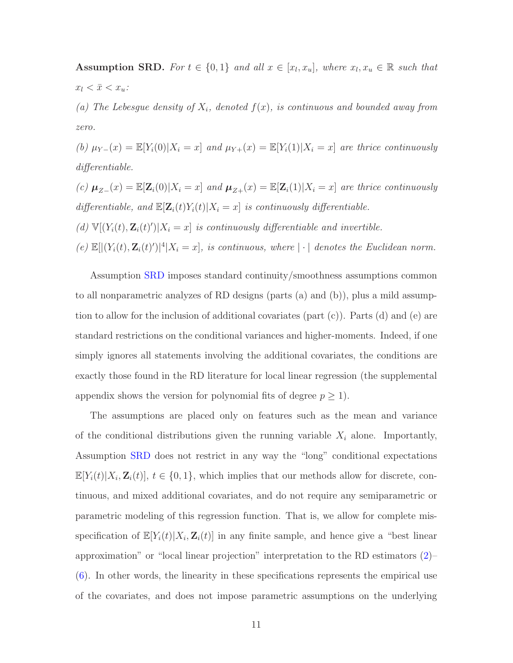<span id="page-11-0"></span>Assumption SRD. For  $t \in \{0,1\}$  and all  $x \in [x_l, x_u]$ , where  $x_l, x_u \in \mathbb{R}$  such that  $x_l < \bar{x} < x_u$ :

(a) The Lebesgue density of  $X_i$ , denoted  $f(x)$ , is continuous and bounded away from zero.

(b)  $\mu_{Y-}(x) = \mathbb{E}[Y_i(0)|X_i = x]$  and  $\mu_{Y+}(x) = \mathbb{E}[Y_i(1)|X_i = x]$  are thrice continuously differentiable.

(c)  $\mu_{Z-}(x) = \mathbb{E}[\mathbf{Z}_i(0)|X_i = x]$  and  $\mu_{Z+}(x) = \mathbb{E}[\mathbf{Z}_i(1)|X_i = x]$  are thrice continuously differentiable, and  $\mathbb{E}[\mathbf{Z}_i(t)Y_i(t)|X_i = x]$  is continuously differentiable. (d)  $\mathbb{V}[(Y_i(t), \mathbf{Z}_i(t)')]X_i = x$  is continuously differentiable and invertible. (e)  $\mathbb{E}[|(Y_i(t), \mathbf{Z}_i(t)')|^4 | X_i = x]$ , is continuous, where  $|\cdot|$  denotes the Euclidean norm.

Assumption [SRD](#page-11-0) imposes standard continuity/smoothness assumptions common to all nonparametric analyzes of RD designs (parts (a) and (b)), plus a mild assumption to allow for the inclusion of additional covariates (part (c)). Parts (d) and (e) are standard restrictions on the conditional variances and higher-moments. Indeed, if one simply ignores all statements involving the additional covariates, the conditions are exactly those found in the RD literature for local linear regression (the supplemental appendix shows the version for polynomial fits of degree  $p \geq 1$ .

The assumptions are placed only on features such as the mean and variance of the conditional distributions given the running variable  $X_i$  alone. Importantly, Assumption [SRD](#page-11-0) does not restrict in any way the "long" conditional expectations  $\mathbb{E}[Y_i(t)|X_i, \mathbf{Z}_i(t)], t \in \{0,1\}$ , which implies that our methods allow for discrete, continuous, and mixed additional covariates, and do not require any semiparametric or parametric modeling of this regression function. That is, we allow for complete misspecification of  $\mathbb{E}[Y_i(t)|X_i, \mathbf{Z}_i(t)]$  in any finite sample, and hence give a "best linear" approximation" or "local linear projection" interpretation to the RD estimators [\(2\)](#page-9-0)– [\(6\)](#page-9-1). In other words, the linearity in these specifications represents the empirical use of the covariates, and does not impose parametric assumptions on the underlying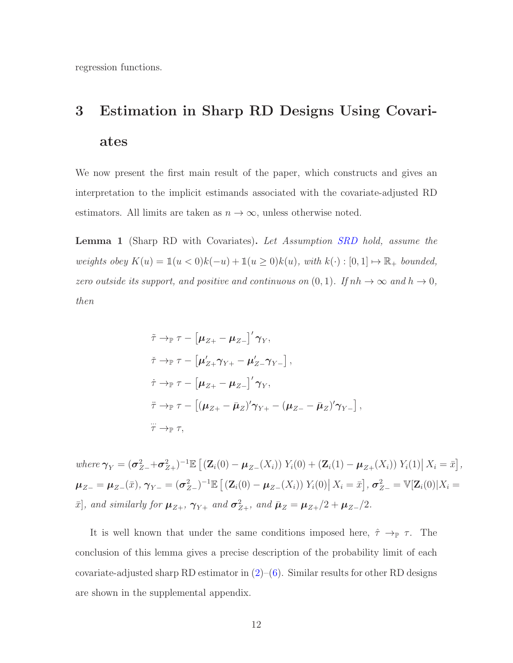<span id="page-12-1"></span>regression functions.

# 3 Estimation in Sharp RD Designs Using Covariates

We now present the first main result of the paper, which constructs and gives an interpretation to the implicit estimands associated with the covariate-adjusted RD estimators. All limits are taken as  $n \to \infty$ , unless otherwise noted.

<span id="page-12-0"></span>Lemma 1 (Sharp RD with Covariates). Let Assumption [SRD](#page-11-0) hold, assume the weights obey  $K(u) = \mathbb{1}(u < 0)k(-u) + \mathbb{1}(u \ge 0)k(u)$ , with  $k(\cdot) : [0, 1] \mapsto \mathbb{R}_+$  bounded, zero outside its support, and positive and continuous on  $(0, 1)$ . If  $nh \to \infty$  and  $h \to 0$ , then

$$
\tilde{\tau} \rightarrow_{\mathbb{P}} \tau - \left[\mu_{Z+} - \mu_{Z-}\right]' \gamma_Y,
$$
\n
$$
\tilde{\tau} \rightarrow_{\mathbb{P}} \tau - \left[\mu'_{Z+} \gamma_{Y+} - \mu'_{Z-} \gamma_{Y-}\right],
$$
\n
$$
\dot{\tau} \rightarrow_{\mathbb{P}} \tau - \left[\mu_{Z+} - \mu_{Z-}\right]' \gamma_Y,
$$
\n
$$
\ddot{\tau} \rightarrow_{\mathbb{P}} \tau - \left[\left(\mu_{Z+} - \bar{\mu}_Z\right)' \gamma_{Y+} - \left(\mu_{Z-} - \bar{\mu}_Z\right)' \gamma_{Y-}\right],
$$
\n
$$
\dddot{\tau} \rightarrow_{\mathbb{P}} \tau,
$$

where  $\gamma_Y = (\sigma_{Z-}^2 + \sigma_{Z+}^2)^{-1} \mathbb{E} \left[ (\mathbf{Z}_i(0) - \boldsymbol{\mu}_{Z-}(X_i)) Y_i(0) + (\mathbf{Z}_i(1) - \boldsymbol{\mu}_{Z+}(X_i)) Y_i(1) | X_i = \bar{x} \right],$  $\mu_{Z-} = \mu_{Z-}(\bar{x}), \gamma_{Y-} = (\sigma_{Z-}^2)^{-1} \mathbb{E}\left[ \left( \mathbf{Z}_i(0) - \mu_{Z-}(X_i) \right) Y_i(0) \right] X_i = \bar{x} \right], \sigma_{Z-}^2 = \mathbb{V}[\mathbf{Z}_i(0) | X_i =$  $\bar{x}$ , and similarly for  $\mu_{Z+}$ ,  $\gamma_{Y+}$  and  $\sigma_{Z+}^2$ , and  $\bar{\mu}_Z = \mu_{Z+}/2 + \mu_{Z-}/2$ .

It is well known that under the same conditions imposed here,  $\hat{\tau} \to_{\mathbb{P}} \tau$ . The conclusion of this lemma gives a precise description of the probability limit of each covariate-adjusted sharp RD estimator in  $(2)$ – $(6)$ . Similar results for other RD designs are shown in the supplemental appendix.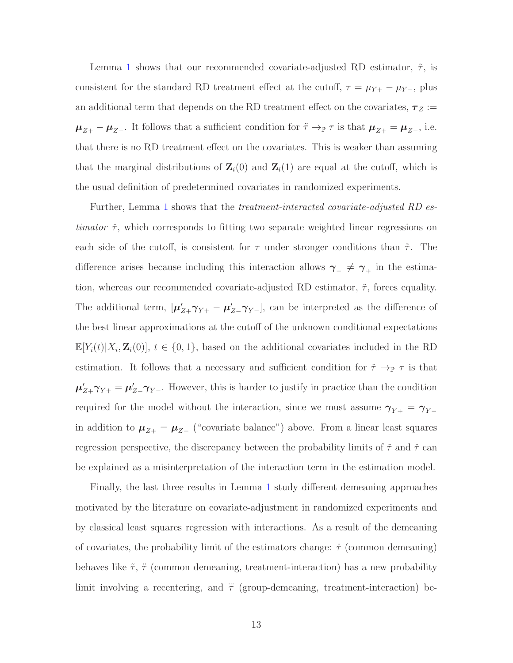Lemma [1](#page-12-0) shows that our recommended covariate-adjusted RD estimator,  $\tilde{\tau}$ , is consistent for the standard RD treatment effect at the cutoff,  $\tau = \mu_{Y+} - \mu_{Y-}$ , plus an additional term that depends on the RD treatment effect on the covariates,  $\tau_Z :=$  $\mu_{Z+} - \mu_{Z-}$ . It follows that a sufficient condition for  $\tilde{\tau} \to_{\mathbb{P}} \tau$  is that  $\mu_{Z+} = \mu_{Z-}$ , i.e. that there is no RD treatment effect on the covariates. This is weaker than assuming that the marginal distributions of  $\mathbf{Z}_i(0)$  and  $\mathbf{Z}_i(1)$  are equal at the cutoff, which is the usual definition of predetermined covariates in randomized experiments.

Further, Lemma [1](#page-12-0) shows that the *treatment-interacted covariate-adjusted RD* es $timator \tau$ , which corresponds to fitting two separate weighted linear regressions on each side of the cutoff, is consistent for  $\tau$  under stronger conditions than  $\tilde{\tau}$ . The difference arises because including this interaction allows  $\gamma_-\neq\gamma_+$  in the estimation, whereas our recommended covariate-adjusted RD estimator,  $\tilde{\tau}$ , forces equality. The additional term,  $[\mu'_{Z+}\gamma_{Y+} - \mu'_{Z-}\gamma_{Y-}],$  can be interpreted as the difference of the best linear approximations at the cutoff of the unknown conditional expectations  $\mathbb{E}[Y_i(t)|X_i, \mathbf{Z}_i(0)], t \in \{0,1\},\$ based on the additional covariates included in the RD estimation. It follows that a necessary and sufficient condition for  $\check{\tau} \to_{\mathbb{P}} \tau$  is that  $\mu'_{Z+}\gamma_{Y+} = \mu'_{Z-}\gamma_{Y-}$ . However, this is harder to justify in practice than the condition required for the model without the interaction, since we must assume  $\gamma_{Y+} = \gamma_{Y-}$ in addition to  $\mu_{Z+} = \mu_{Z-}$  ("covariate balance") above. From a linear least squares regression perspective, the discrepancy between the probability limits of  $\tilde{\tau}$  and  $\tilde{\tau}$  can be explained as a misinterpretation of the interaction term in the estimation model.

Finally, the last three results in Lemma [1](#page-12-0) study different demeaning approaches motivated by the literature on covariate-adjustment in randomized experiments and by classical least squares regression with interactions. As a result of the demeaning of covariates, the probability limit of the estimators change:  $\tau$  (common demeaning) behaves like  $\tilde{\tau}$ ,  $\tilde{\tau}$  (common demeaning, treatment-interaction) has a new probability limit involving a recentering, and  $\ddot{\tau}$  (group-demeaning, treatment-interaction) be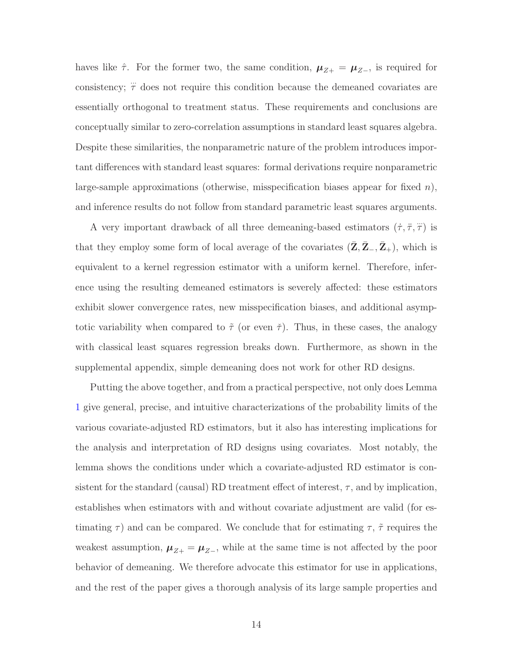haves like  $\hat{\tau}$ . For the former two, the same condition,  $\mu_{Z+} = \mu_{Z-}$ , is required for consistency;  $\ddot{\tau}$  does not require this condition because the demeaned covariates are essentially orthogonal to treatment status. These requirements and conclusions are conceptually similar to zero-correlation assumptions in standard least squares algebra. Despite these similarities, the nonparametric nature of the problem introduces important differences with standard least squares: formal derivations require nonparametric large-sample approximations (otherwise, misspecification biases appear for fixed  $n$ ), and inference results do not follow from standard parametric least squares arguments.

A very important drawback of all three demeaning-based estimators  $(\dot{\tau}, \ddot{\tau}, \dddot{\tau})$  is that they employ some form of local average of the covariates  $(\mathbf{Z}, \mathbf{Z}_-, \mathbf{Z}_+)$ , which is equivalent to a kernel regression estimator with a uniform kernel. Therefore, inference using the resulting demeaned estimators is severely affected: these estimators exhibit slower convergence rates, new misspecification biases, and additional asymptotic variability when compared to  $\tilde{\tau}$  (or even  $\tilde{\tau}$ ). Thus, in these cases, the analogy with classical least squares regression breaks down. Furthermore, as shown in the supplemental appendix, simple demeaning does not work for other RD designs.

Putting the above together, and from a practical perspective, not only does Lemma [1](#page-12-0) give general, precise, and intuitive characterizations of the probability limits of the various covariate-adjusted RD estimators, but it also has interesting implications for the analysis and interpretation of RD designs using covariates. Most notably, the lemma shows the conditions under which a covariate-adjusted RD estimator is consistent for the standard (causal) RD treatment effect of interest,  $\tau$ , and by implication, establishes when estimators with and without covariate adjustment are valid (for estimating  $\tau$ ) and can be compared. We conclude that for estimating  $\tau$ ,  $\tilde{\tau}$  requires the weakest assumption,  $\mu_{Z+} = \mu_{Z-}$ , while at the same time is not affected by the poor behavior of demeaning. We therefore advocate this estimator for use in applications, and the rest of the paper gives a thorough analysis of its large sample properties and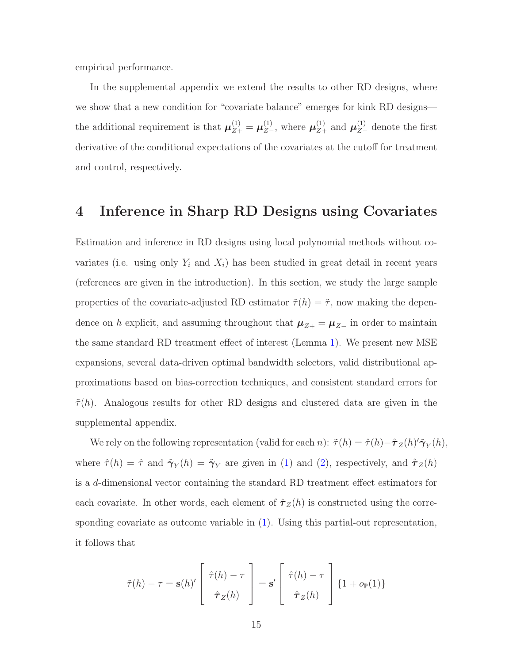empirical performance.

In the supplemental appendix we extend the results to other RD designs, where we show that a new condition for "covariate balance" emerges for kink RD designs the additional requirement is that  $\mu_{Z+}^{(1)} = \mu_{Z-}^{(1)}$ , where  $\mu_{Z+}^{(1)}$  and  $\mu_{Z-}^{(1)}$  denote the first derivative of the conditional expectations of the covariates at the cutoff for treatment and control, respectively.

## <span id="page-15-0"></span>4 Inference in Sharp RD Designs using Covariates

Estimation and inference in RD designs using local polynomial methods without covariates (i.e. using only  $Y_i$  and  $X_i$ ) has been studied in great detail in recent years (references are given in the introduction). In this section, we study the large sample properties of the covariate-adjusted RD estimator  $\tilde{\tau}(h) = \tilde{\tau}$ , now making the dependence on h explicit, and assuming throughout that  $\mu_{Z+} = \mu_{Z-}$  in order to maintain the same standard RD treatment effect of interest (Lemma [1\)](#page-12-0). We present new MSE expansions, several data-driven optimal bandwidth selectors, valid distributional approximations based on bias-correction techniques, and consistent standard errors for  $\tilde{\tau}(h)$ . Analogous results for other RD designs and clustered data are given in the supplemental appendix.

We rely on the following representation (valid for each n):  $\tilde{\tau}(h) = \hat{\tau}(h) - \hat{\tau}_Z(h)'\tilde{\gamma}_Y(h)$ , where  $\hat{\tau}(h) = \hat{\tau}$  and  $\tilde{\gamma}_Y(h) = \tilde{\gamma}_Y$  are given in [\(1\)](#page-9-2) and [\(2\)](#page-9-0), respectively, and  $\hat{\tau}_Z(h)$ is a d-dimensional vector containing the standard RD treatment effect estimators for each covariate. In other words, each element of  $\hat{\tau}_Z(h)$  is constructed using the corresponding covariate as outcome variable in [\(1\)](#page-9-2). Using this partial-out representation, it follows that

$$
\tilde{\tau}(h) - \tau = \mathbf{s}(h)'\begin{bmatrix} \hat{\tau}(h) - \tau \\ \hat{\tau}_Z(h) \end{bmatrix} = \mathbf{s}'\begin{bmatrix} \hat{\tau}(h) - \tau \\ \hat{\tau}_Z(h) \end{bmatrix} \{1 + o_{\mathbb{P}}(1)\}
$$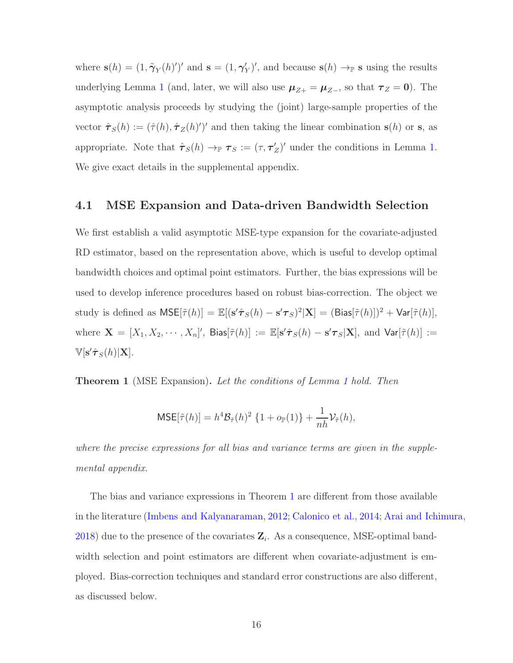where  $\mathbf{s}(h) = (1, \tilde{\boldsymbol{\gamma}}_Y(h)')'$  and  $\mathbf{s} = (1, \boldsymbol{\gamma}_Y')$  $'_{Y}$ ', and because  $s(h) \rightarrow_{\mathbb{P}} s$  using the results underlying Lemma [1](#page-12-0) (and, later, we will also use  $\mu_{Z+} = \mu_{Z-}$ , so that  $\tau_Z = 0$ ). The asymptotic analysis proceeds by studying the (joint) large-sample properties of the vector  $\hat{\tau}_S(h) := (\hat{\tau}(h), \hat{\tau}_Z(h)')'$  and then taking the linear combination  $s(h)$  or s, as appropriate. Note that  $\hat{\tau}_S(h) \to_{\mathbb{P}} \tau_S := (\tau, \tau'_S)$  $(Z')'$  under the conditions in Lemma [1.](#page-12-0) We give exact details in the supplemental appendix.

#### 4.1 MSE Expansion and Data-driven Bandwidth Selection

We first establish a valid asymptotic MSE-type expansion for the covariate-adjusted RD estimator, based on the representation above, which is useful to develop optimal bandwidth choices and optimal point estimators. Further, the bias expressions will be used to develop inference procedures based on robust bias-correction. The object we study is defined as  $\mathsf{MSE}[\tilde{\tau}(h)] = \mathbb{E}[(\mathbf{s}'\hat{\boldsymbol{\tau}}_S(h) - \mathbf{s}'\boldsymbol{\tau}_S)^2|\mathbf{X}] = (\mathsf{Bias}[\tilde{\tau}(h)])^2 + \mathsf{Var}[\tilde{\tau}(h)],$ where  $\mathbf{X} = [X_1, X_2, \cdots, X_n]'$ , Bias $[\tilde{\tau}(h)] := \mathbb{E}[\mathbf{s}' \hat{\boldsymbol{\tau}}_S(h) - \mathbf{s}' \boldsymbol{\tau}_S | \mathbf{X}]$ , and  $\textsf{Var}[\tilde{\tau}(h)] :=$  $\mathbb{V}[\mathbf{s}'\hat{\boldsymbol{\tau}}_S(h)|\mathbf{X}].$ 

<span id="page-16-0"></span>**Theorem [1](#page-12-0)** (MSE Expansion). Let the conditions of Lemma 1 hold. Then

$$
\text{MSE}[\tilde{\tau}(h)] = h^4 \mathcal{B}_{\tilde{\tau}}(h)^2 \left\{ 1 + o_{\mathbb{P}}(1) \right\} + \frac{1}{nh} \mathcal{V}_{\tilde{\tau}}(h),
$$

where the precise expressions for all bias and variance terms are given in the supplemental appendix.

The bias and variance expressions in Theorem [1](#page-16-0) are different from those available in the literature [\(Imbens and Kalyanaraman](#page-29-5), [2012](#page-29-5); [Calonico et al.](#page-27-3), [2014;](#page-27-3) [Arai and Ichimura,](#page-27-4)  $2018$ ) due to the presence of the covariates  $\mathbb{Z}_i$ . As a consequence, MSE-optimal bandwidth selection and point estimators are different when covariate-adjustment is employed. Bias-correction techniques and standard error constructions are also different, as discussed below.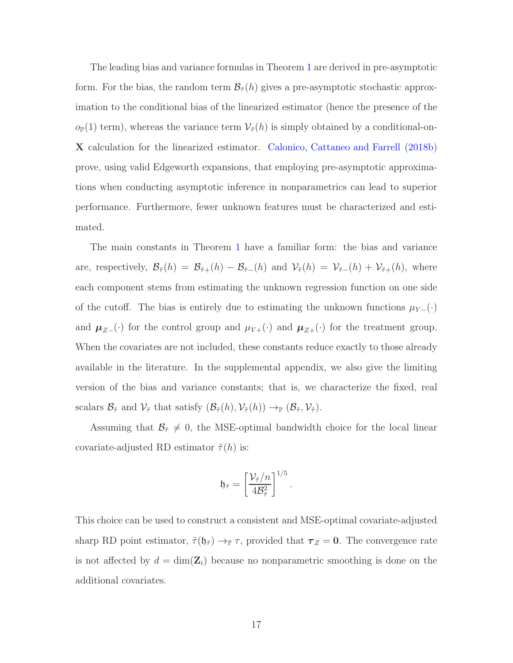The leading bias and variance formulas in Theorem [1](#page-16-0) are derived in pre-asymptotic form. For the bias, the random term  $\mathcal{B}_{\tilde{\tau}}(h)$  gives a pre-asymptotic stochastic approximation to the conditional bias of the linearized estimator (hence the presence of the  $o_{\mathbb{P}}(1)$  term), whereas the variance term  $\mathcal{V}_{\tilde{\tau}}(h)$  is simply obtained by a conditional-on-X calculation for the linearized estimator. [Calonico, Cattaneo and Farrell](#page-27-5) [\(2018b\)](#page-27-5) prove, using valid Edgeworth expansions, that employing pre-asymptotic approximations when conducting asymptotic inference in nonparametrics can lead to superior performance. Furthermore, fewer unknown features must be characterized and estimated.

The main constants in Theorem [1](#page-16-0) have a familiar form: the bias and variance are, respectively,  $\mathcal{B}_{\tilde{\tau}}(h) = \mathcal{B}_{\tilde{\tau}+}(h) - \mathcal{B}_{\tilde{\tau}-}(h)$  and  $\mathcal{V}_{\tilde{\tau}}(h) = \mathcal{V}_{\tilde{\tau}-}(h) + \mathcal{V}_{\tilde{\tau}+}(h)$ , where each component stems from estimating the unknown regression function on one side of the cutoff. The bias is entirely due to estimating the unknown functions  $\mu_{Y-}(\cdot)$ and  $\mu_{Z-}(\cdot)$  for the control group and  $\mu_{Y+}(\cdot)$  and  $\mu_{Z+}(\cdot)$  for the treatment group. When the covariates are not included, these constants reduce exactly to those already available in the literature. In the supplemental appendix, we also give the limiting version of the bias and variance constants; that is, we characterize the fixed, real scalars  $\mathcal{B}_{\tilde{\tau}}$  and  $\mathcal{V}_{\tilde{\tau}}$  that satisfy  $(\mathcal{B}_{\tilde{\tau}}(h), \mathcal{V}_{\tilde{\tau}}(h)) \to_{\mathbb{P}} (\mathcal{B}_{\tilde{\tau}}, \mathcal{V}_{\tilde{\tau}}).$ 

Assuming that  $\mathcal{B}_{\tilde{\tau}} \neq 0$ , the MSE-optimal bandwidth choice for the local linear covariate-adjusted RD estimator  $\tilde{\tau}(h)$  is:

$$
\mathfrak{h}_{\tilde{\tau}} = \left[\frac{\mathcal{V}_{\tilde{\tau}}/n}{4\mathcal{B}_{\tilde{\tau}}^2}\right]^{1/5}.
$$

This choice can be used to construct a consistent and MSE-optimal covariate-adjusted sharp RD point estimator,  $\tilde{\tau}(\mathfrak{h}_{\tilde{\tau}}) \to_{\mathbb{P}} \tau$ , provided that  $\tau_z = 0$ . The convergence rate is not affected by  $d = \dim(\mathbf{Z}_i)$  because no nonparametric smoothing is done on the additional covariates.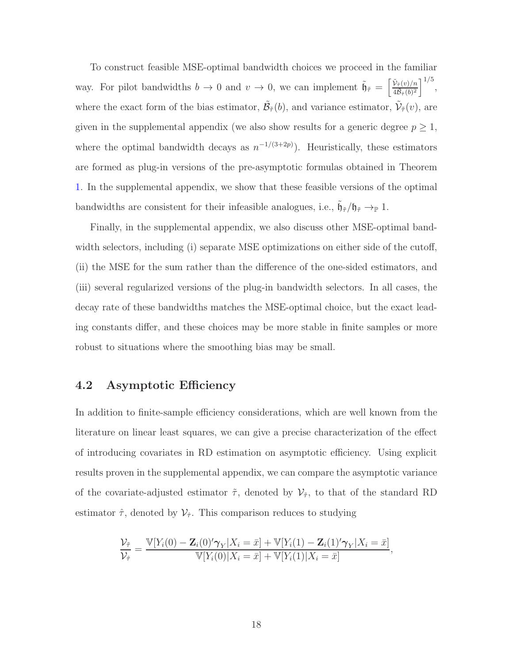To construct feasible MSE-optimal bandwidth choices we proceed in the familiar way. For pilot bandwidths  $b \to 0$  and  $v \to 0$ , we can implement  $\tilde{\mathfrak{h}}_{\tilde{\tau}} = \begin{bmatrix} \tilde{\nu}_{\tilde{\tau}}(v)/n \\ 4 \tilde{\mathcal{B}}_{\tilde{\tau}}(b)^2 \end{bmatrix}$  $\frac{\tilde{V}_{\tilde{\tau}}(v)/n}{4\tilde{\mathcal{B}}_{\tilde{\tau}}(b)^2}\bigg]^{1/5},$ where the exact form of the bias estimator,  $\tilde{\mathcal{B}}_{\tilde{\tau}}(b)$ , and variance estimator,  $\tilde{\mathcal{V}}_{\tilde{\tau}}(v)$ , are given in the supplemental appendix (we also show results for a generic degree  $p \geq 1$ , where the optimal bandwidth decays as  $n^{-1/(3+2p)}$ ). Heuristically, these estimators are formed as plug-in versions of the pre-asymptotic formulas obtained in Theorem [1.](#page-16-0) In the supplemental appendix, we show that these feasible versions of the optimal bandwidths are consistent for their infeasible analogues, i.e.,  $\tilde{\mathfrak{h}}_{\tilde{\tau}}/\mathfrak{h}_{\tilde{\tau}} \to \mathbb{P} 1$ .

Finally, in the supplemental appendix, we also discuss other MSE-optimal bandwidth selectors, including (i) separate MSE optimizations on either side of the cutoff, (ii) the MSE for the sum rather than the difference of the one-sided estimators, and (iii) several regularized versions of the plug-in bandwidth selectors. In all cases, the decay rate of these bandwidths matches the MSE-optimal choice, but the exact leading constants differ, and these choices may be more stable in finite samples or more robust to situations where the smoothing bias may be small.

#### <span id="page-18-0"></span>4.2 Asymptotic Efficiency

In addition to finite-sample efficiency considerations, which are well known from the literature on linear least squares, we can give a precise characterization of the effect of introducing covariates in RD estimation on asymptotic efficiency. Using explicit results proven in the supplemental appendix, we can compare the asymptotic variance of the covariate-adjusted estimator  $\tilde{\tau}$ , denoted by  $\mathcal{V}_{\tilde{\tau}}$ , to that of the standard RD estimator  $\hat{\tau}$ , denoted by  $\mathcal{V}_{\hat{\tau}}$ . This comparison reduces to studying

$$
\frac{\mathcal{V}_{\tilde{\tau}}}{\mathcal{V}_{\hat{\tau}}} = \frac{\mathbb{V}[Y_i(0) - \mathbf{Z}_i(0)'\boldsymbol{\gamma}_Y|X_i = \bar{x}] + \mathbb{V}[Y_i(1) - \mathbf{Z}_i(1)'\boldsymbol{\gamma}_Y|X_i = \bar{x}]}{\mathbb{V}[Y_i(0)|X_i = \bar{x}] + \mathbb{V}[Y_i(1)|X_i = \bar{x}]},
$$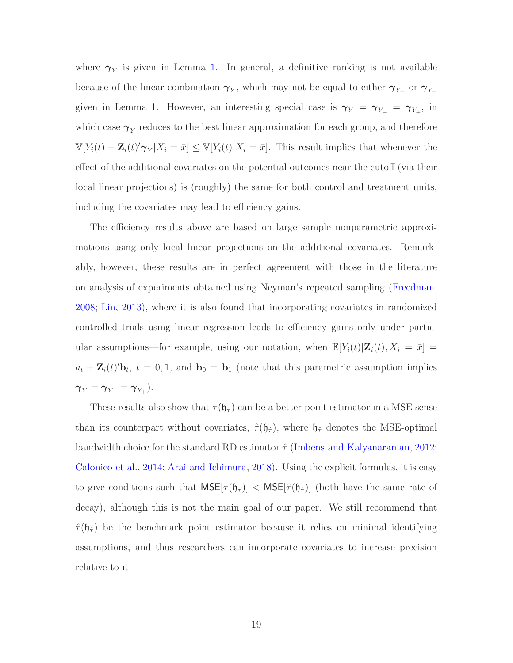where  $\gamma_Y$  is given in Lemma [1.](#page-12-0) In general, a definitive ranking is not available because of the linear combination  $\gamma_Y$ , which may not be equal to either  $\gamma_{Y-}$  or  $\gamma_{Y+}$ given in Lemma [1.](#page-12-0) However, an interesting special case is  $\gamma_Y = \gamma_{Y_+} = \gamma_{Y_+}$ , in which case  $\gamma_Y$  reduces to the best linear approximation for each group, and therefore  $\mathbb{V}[Y_i(t) - \mathbf{Z}_i(t)'\gamma_Y|X_i = \bar{x}] \leq \mathbb{V}[Y_i(t)|X_i = \bar{x}].$  This result implies that whenever the effect of the additional covariates on the potential outcomes near the cutoff (via their local linear projections) is (roughly) the same for both control and treatment units, including the covariates may lead to efficiency gains.

The efficiency results above are based on large sample nonparametric approximations using only local linear projections on the additional covariates. Remarkably, however, these results are in perfect agreement with those in the literature on analysis of experiments obtained using Neyman's repeated sampling [\(Freedman,](#page-28-6) [2008;](#page-28-6) [Lin,](#page-29-6) [2013\)](#page-29-6), where it is also found that incorporating covariates in randomized controlled trials using linear regression leads to efficiency gains only under particular assumptions—for example, using our notation, when  $\mathbb{E}[Y_i(t)|\mathbf{Z}_i(t), X_i = \bar{x}] =$  $a_t + \mathbf{Z}_i(t)$ 'b<sub>t</sub>,  $t = 0, 1$ , and  $\mathbf{b}_0 = \mathbf{b}_1$  (note that this parametric assumption implies  $\boldsymbol{\gamma}_{Y}=\boldsymbol{\gamma}_{Y_{-}}=\boldsymbol{\gamma}_{Y_{+}}).$ 

These results also show that  $\tilde{\tau}(\mathfrak{h}_{\tilde{\tau}})$  can be a better point estimator in a MSE sense than its counterpart without covariates,  $\hat{\tau}(\mathfrak{h}_{\hat{\tau}})$ , where  $\mathfrak{h}_{\hat{\tau}}$  denotes the MSE-optimal bandwidth choice for the standard RD estimator  $\hat{\tau}$  [\(Imbens and Kalyanaraman](#page-29-5), [2012;](#page-29-5) [Calonico et al.](#page-27-3), [2014;](#page-27-3) [Arai and Ichimura](#page-27-4), [2018](#page-27-4)). Using the explicit formulas, it is easy to give conditions such that  $MSE[\tilde{\tau}(\mathfrak{h}_{\tilde{\tau}})] < MSE[\hat{\tau}(\mathfrak{h}_{\tilde{\tau}})]$  (both have the same rate of decay), although this is not the main goal of our paper. We still recommend that  $\hat{\tau}(\mathfrak{h}_{\hat{\tau}})$  be the benchmark point estimator because it relies on minimal identifying assumptions, and thus researchers can incorporate covariates to increase precision relative to it.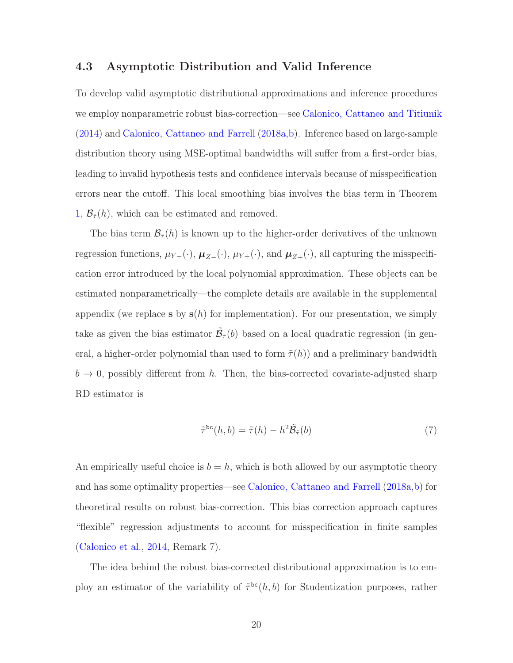#### 4.3 Asymptotic Distribution and Valid Inference

To develop valid asymptotic distributional approximations and inference procedures we employ nonparametric robust bias-correction—see [Calonico, Cattaneo and Titiunik](#page-27-3) [\(2014\)](#page-27-3) and [Calonico, Cattaneo and Farrell](#page-27-6) [\(2018a](#page-27-6)[,b](#page-27-5)). Inference based on large-sample distribution theory using MSE-optimal bandwidths will suffer from a first-order bias, leading to invalid hypothesis tests and confidence intervals because of misspecification errors near the cutoff. This local smoothing bias involves the bias term in Theorem [1,](#page-16-0)  $\mathcal{B}_{\tilde{\tau}}(h)$ , which can be estimated and removed.

The bias term  $\mathcal{B}_{\tilde{\tau}}(h)$  is known up to the higher-order derivatives of the unknown regression functions,  $\mu_{Y-}(\cdot)$ ,  $\mu_{Z-}(\cdot)$ ,  $\mu_{Y+}(\cdot)$ , and  $\mu_{Z+}(\cdot)$ , all capturing the misspecification error introduced by the local polynomial approximation. These objects can be estimated nonparametrically—the complete details are available in the supplemental appendix (we replace s by  $s(h)$  for implementation). For our presentation, we simply take as given the bias estimator  $\tilde{\mathcal{B}}_{\tilde{\tau}}(b)$  based on a local quadratic regression (in general, a higher-order polynomial than used to form  $\tilde{\tau}(h)$  and a preliminary bandwidth  $b \to 0$ , possibly different from h. Then, the bias-corrected covariate-adjusted sharp RD estimator is

$$
\tilde{\tau}^{\text{bc}}(h,b) = \tilde{\tau}(h) - h^2 \tilde{\mathcal{B}}_{\tilde{\tau}}(b) \tag{7}
$$

An empirically useful choice is  $b = h$ , which is both allowed by our asymptotic theory and has some optimality properties—see [Calonico, Cattaneo and Farrell](#page-27-6) [\(2018a](#page-27-6)[,b\)](#page-27-5) for theoretical results on robust bias-correction. This bias correction approach captures "flexible" regression adjustments to account for misspecification in finite samples [\(Calonico et al.,](#page-27-3) [2014](#page-27-3), Remark 7).

The idea behind the robust bias-corrected distributional approximation is to employ an estimator of the variability of  $\tilde{\tau}^{bc}(h, b)$  for Studentization purposes, rather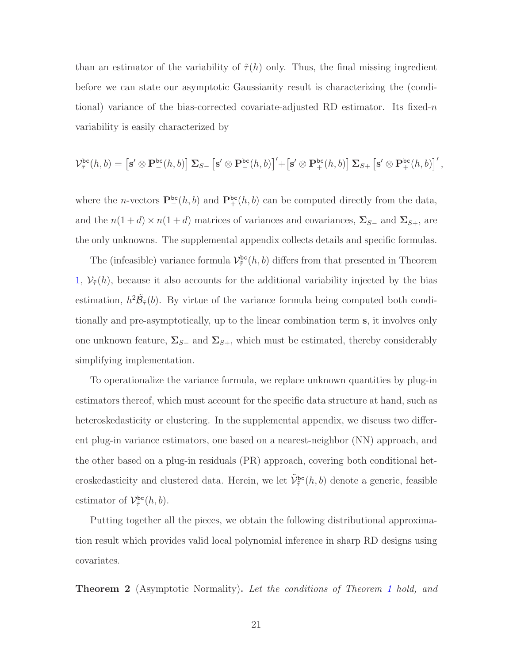than an estimator of the variability of  $\tilde{\tau}(h)$  only. Thus, the final missing ingredient before we can state our asymptotic Gaussianity result is characterizing the (conditional) variance of the bias-corrected covariate-adjusted RD estimator. Its fixed- $n$ variability is easily characterized by

$$
\mathcal{V}_{\tilde{\tau}}^{\text{bc}}(h,b) = \left[\mathbf{s}' \otimes \mathbf{P}^{\text{bc}}_{-}(h,b)\right] \mathbf{\Sigma}_{S-} \left[\mathbf{s}' \otimes \mathbf{P}^{\text{bc}}_{-}(h,b)\right]' + \left[\mathbf{s}' \otimes \mathbf{P}^{\text{bc}}_{+}(h,b)\right] \mathbf{\Sigma}_{S+} \left[\mathbf{s}' \otimes \mathbf{P}^{\text{bc}}_{+}(h,b)\right]',
$$

where the *n*-vectors  $\mathbf{P}^{\text{bc}}_{-}(h, b)$  and  $\mathbf{P}^{\text{bc}}_{+}(h, b)$  can be computed directly from the data, and the  $n(1+d) \times n(1+d)$  matrices of variances and covariances,  $\Sigma_{S-}$  and  $\Sigma_{S+}$ , are the only unknowns. The supplemental appendix collects details and specific formulas.

The (infeasible) variance formula  $\mathcal{V}^\mathtt{bc}_{{\tilde{\tau}}}$  $\tilde{\tau}^{\text{bc}}(h, b)$  differs from that presented in Theorem [1,](#page-16-0)  $V_{\tilde{\tau}}(h)$ , because it also accounts for the additional variability injected by the bias estimation,  $h^2 \tilde{\mathcal{B}}_{\tilde{\tau}}(b)$ . By virtue of the variance formula being computed both conditionally and pre-asymptotically, up to the linear combination term s, it involves only one unknown feature,  $\Sigma_{S-}$  and  $\Sigma_{S+}$ , which must be estimated, thereby considerably simplifying implementation.

To operationalize the variance formula, we replace unknown quantities by plug-in estimators thereof, which must account for the specific data structure at hand, such as heteroskedasticity or clustering. In the supplemental appendix, we discuss two different plug-in variance estimators, one based on a nearest-neighbor (NN) approach, and the other based on a plug-in residuals (PR) approach, covering both conditional heteroskedasticity and clustered data. Herein, we let  $\tilde{V}^{\text{bc}}_{\tilde{\tau}}(h, b)$  denote a generic, feasible estimator of  $\mathcal{V}^{\mathtt{bc}}_{\tilde{\tau}}$  $\frac{\partial \mathsf{bc}}{\tilde{\tau}}(h,b).$ 

Putting together all the pieces, we obtain the following distributional approximation result which provides valid local polynomial inference in sharp RD designs using covariates.

<span id="page-21-0"></span>**Theorem 2** (Asymptotic Normality). Let the conditions of Theorem [1](#page-16-0) hold, and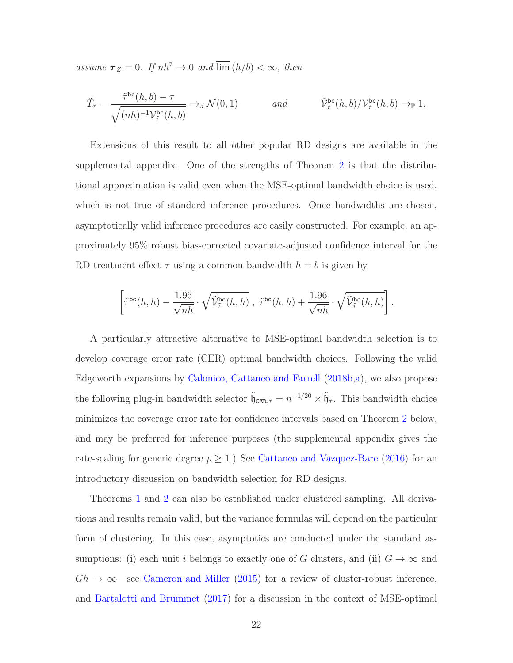assume  $\tau_z = 0$ . If  $nh^7 \to 0$  and  $\overline{\lim}(h/b) < \infty$ , then

$$
\tilde{T}_{\tilde{\tau}} = \frac{\tilde{\tau}^{\text{bc}}(h,b) - \tau}{\sqrt{(nh)^{-1} \mathcal{V}_{\tilde{\tau}}^{\text{bc}}(h,b)}} \to_d \mathcal{N}(0,1) \quad \text{and} \quad \tilde{\mathcal{V}}_{\tilde{\tau}}^{\text{bc}}(h,b) / \mathcal{V}_{\tilde{\tau}}^{\text{bc}}(h,b) \to_{\mathbb{P}} 1.
$$

Extensions of this result to all other popular RD designs are available in the supplemental appendix. One of the strengths of Theorem [2](#page-21-0) is that the distributional approximation is valid even when the MSE-optimal bandwidth choice is used, which is not true of standard inference procedures. Once bandwidths are chosen, asymptotically valid inference procedures are easily constructed. For example, an approximately 95% robust bias-corrected covariate-adjusted confidence interval for the RD treatment effect  $\tau$  using a common bandwidth  $h = b$  is given by

$$
\left[\tilde{\tau}^{\text{bc}}(h,h)-\frac{1.96}{\sqrt{nh}}\cdot\sqrt{\tilde{\mathcal{V}}^{\text{bc}}_{\tilde{\tau}}(h,h)}\;,\;\tilde{\tau}^{\text{bc}}(h,h)+\frac{1.96}{\sqrt{nh}}\cdot\sqrt{\tilde{\mathcal{V}}^{\text{bc}}_{\tilde{\tau}}(h,h)}\right]
$$

.

A particularly attractive alternative to MSE-optimal bandwidth selection is to develop coverage error rate (CER) optimal bandwidth choices. Following the valid Edgeworth expansions by [Calonico, Cattaneo and Farrell](#page-27-5) [\(2018b](#page-27-5)[,a](#page-27-6)), we also propose the following plug-in bandwidth selector  $\tilde{\mathfrak{h}}_{CER,\tilde{\tau}} = n^{-1/20} \times \tilde{\mathfrak{h}}_{\tilde{\tau}}$ . This bandwidth choice minimizes the coverage error rate for confidence intervals based on Theorem [2](#page-21-0) below, and may be preferred for inference purposes (the supplemental appendix gives the rate-scaling for generic degree  $p \geq 1$ .) See [Cattaneo and Vazquez-Bare](#page-28-7) [\(2016](#page-28-7)) for an introductory discussion on bandwidth selection for RD designs.

Theorems [1](#page-16-0) and [2](#page-21-0) can also be established under clustered sampling. All derivations and results remain valid, but the variance formulas will depend on the particular form of clustering. In this case, asymptotics are conducted under the standard assumptions: (i) each unit i belongs to exactly one of G clusters, and (ii)  $G \to \infty$  and  $Gh \rightarrow \infty$ —see [Cameron and Miller](#page-27-7) [\(2015](#page-27-7)) for a review of cluster-robust inference, and [Bartalotti and Brummet](#page-27-8) [\(2017](#page-27-8)) for a discussion in the context of MSE-optimal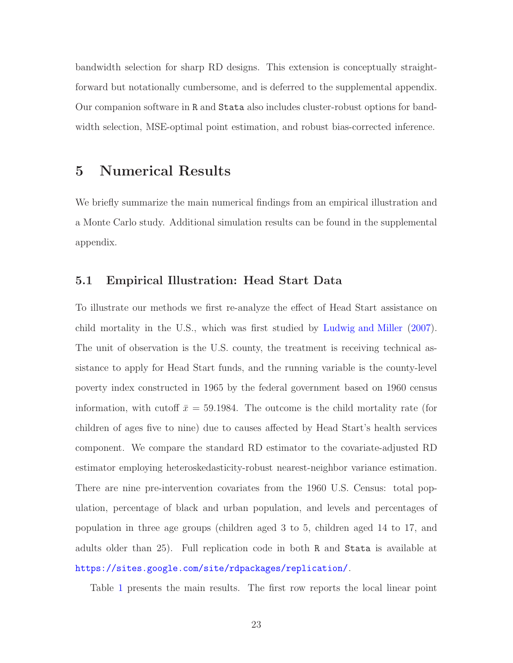bandwidth selection for sharp RD designs. This extension is conceptually straightforward but notationally cumbersome, and is deferred to the supplemental appendix. Our companion software in R and Stata also includes cluster-robust options for bandwidth selection, MSE-optimal point estimation, and robust bias-corrected inference.

## <span id="page-23-0"></span>5 Numerical Results

We briefly summarize the main numerical findings from an empirical illustration and a Monte Carlo study. Additional simulation results can be found in the supplemental appendix.

#### 5.1 Empirical Illustration: Head Start Data

To illustrate our methods we first re-analyze the effect of Head Start assistance on child mortality in the U.S., which was first studied by [Ludwig and Miller](#page-29-2) [\(2007](#page-29-2)). The unit of observation is the U.S. county, the treatment is receiving technical assistance to apply for Head Start funds, and the running variable is the county-level poverty index constructed in 1965 by the federal government based on 1960 census information, with cutoff  $\bar{x} = 59.1984$ . The outcome is the child mortality rate (for children of ages five to nine) due to causes affected by Head Start's health services component. We compare the standard RD estimator to the covariate-adjusted RD estimator employing heteroskedasticity-robust nearest-neighbor variance estimation. There are nine pre-intervention covariates from the 1960 U.S. Census: total population, percentage of black and urban population, and levels and percentages of population in three age groups (children aged 3 to 5, children aged 14 to 17, and adults older than 25). Full replication code in both R and Stata is available at <https://sites.google.com/site/rdpackages/replication/>.

Table [1](#page-24-0) presents the main results. The first row reports the local linear point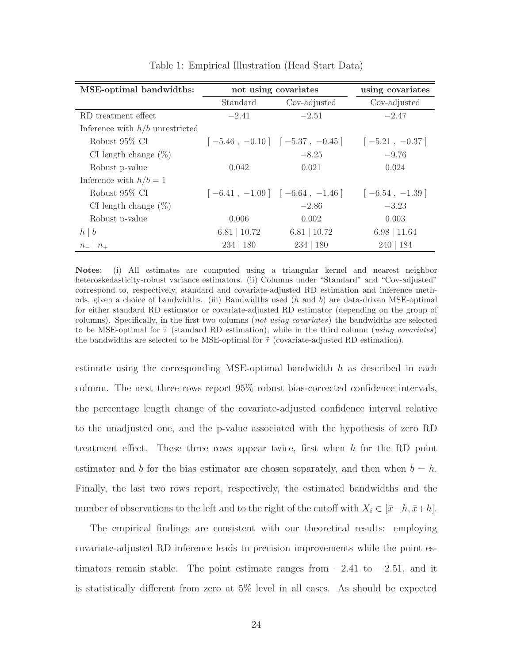<span id="page-24-0"></span>

| MSE-optimal bandwidths:           | not using covariates |                                   | using covariates  |
|-----------------------------------|----------------------|-----------------------------------|-------------------|
|                                   | Standard             | Cov-adjusted                      | Cov-adjusted      |
| RD treatment effect               | $-2.41$              | $-2.51$                           | $-2.47$           |
| Inference with $h/b$ unrestricted |                      |                                   |                   |
| Robust 95\% CI                    |                      | $[-5.46, -0.10]$ $[-5.37, -0.45]$ | $[-5.21, -0.37]$  |
| CI length change $(\%)$           |                      | $-8.25$                           | $-9.76$           |
| Robust p-value                    | 0.042                | 0.021                             | 0.024             |
| Inference with $h/b = 1$          |                      |                                   |                   |
| Robust 95\% CI                    |                      | $[-6.41, -1.09]$ $[-6.64, -1.46]$ | $[-6.54, -1.39]$  |
| CI length change $(\%)$           |                      | $-2.86$                           | $-3.23$           |
| Robust p-value                    | 0.006                | 0.002                             | 0.003             |
| $h \mid b$                        | $6.81 \mid 10.72$    | $6.81 \mid 10.72$                 | $6.98 \mid 11.64$ |
| $n_{-} \mid n_{+}$                | 234 180              | 234   180                         | 240   184         |

Table 1: Empirical Illustration (Head Start Data)

Notes: (i) All estimates are computed using a triangular kernel and nearest neighbor heteroskedasticity-robust variance estimators. (ii) Columns under "Standard" and "Cov-adjusted" correspond to, respectively, standard and covariate-adjusted RD estimation and inference methods, given a choice of bandwidths. (iii) Bandwidths used  $(h \text{ and } b)$  are data-driven MSE-optimal for either standard RD estimator or covariate-adjusted RD estimator (depending on the group of columns). Specifically, in the first two columns (not using covariates) the bandwidths are selected to be MSE-optimal for  $\hat{\tau}$  (standard RD estimation), while in the third column (using covariates) the bandwidths are selected to be MSE-optimal for  $\tilde{\tau}$  (covariate-adjusted RD estimation).

estimate using the corresponding MSE-optimal bandwidth  $h$  as described in each column. The next three rows report 95% robust bias-corrected confidence intervals, the percentage length change of the covariate-adjusted confidence interval relative to the unadjusted one, and the p-value associated with the hypothesis of zero RD treatment effect. These three rows appear twice, first when h for the RD point estimator and b for the bias estimator are chosen separately, and then when  $b = h$ . Finally, the last two rows report, respectively, the estimated bandwidths and the number of observations to the left and to the right of the cutoff with  $X_i \in [\bar{x}-h, \bar{x}+h]$ .

The empirical findings are consistent with our theoretical results: employing covariate-adjusted RD inference leads to precision improvements while the point estimators remain stable. The point estimate ranges from  $-2.41$  to  $-2.51$ , and it is statistically different from zero at 5% level in all cases. As should be expected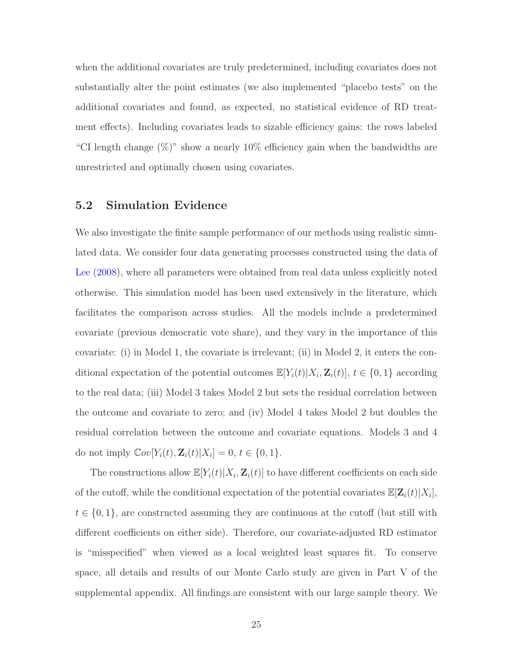when the additional covariates are truly predetermined, including covariates does not substantially alter the point estimates (we also implemented "placebo tests" on the additional covariates and found, as expected, no statistical evidence of RD treatment effects). Including covariates leads to sizable efficiency gains: the rows labeled "CI length change  $(\%)$ " show a nearly 10% efficiency gain when the bandwidths are unrestricted and optimally chosen using covariates.

#### 5.2 Simulation Evidence

We also investigate the finite sample performance of our methods using realistic simulated data. We consider four data generating processes constructed using the data of [Lee](#page-29-1) [\(2008](#page-29-1)), where all parameters were obtained from real data unless explicitly noted otherwise. This simulation model has been used extensively in the literature, which facilitates the comparison across studies. All the models include a predetermined covariate (previous democratic vote share), and they vary in the importance of this covariate: (i) in Model 1, the covariate is irrelevant; (ii) in Model 2, it enters the conditional expectation of the potential outcomes  $\mathbb{E}[Y_i(t)|X_i, \mathbf{Z}_i(t)], t \in \{0, 1\}$  according to the real data; (iii) Model 3 takes Model 2 but sets the residual correlation between the outcome and covariate to zero; and (iv) Model 4 takes Model 2 but doubles the residual correlation between the outcome and covariate equations. Models 3 and 4 do not imply  $Cov[Y_i(t), \mathbf{Z}_i(t)|X_i] = 0, t \in \{0, 1\}.$ 

The constructions allow  $\mathbb{E}[Y_i(t)|X_i, \mathbf{Z}_i(t)]$  to have different coefficients on each side of the cutoff, while the conditional expectation of the potential covariates  $\mathbb{E}[\mathbf{Z}_i(t)|X_i]$ ,  $t \in \{0, 1\}$ , are constructed assuming they are continuous at the cutoff (but still with different coefficients on either side). Therefore, our covariate-adjusted RD estimator is "misspecified" when viewed as a local weighted least squares fit. To conserve space, all details and results of our Monte Carlo study are given in Part V of the supplemental appendix. All findings are consistent with our large sample theory. We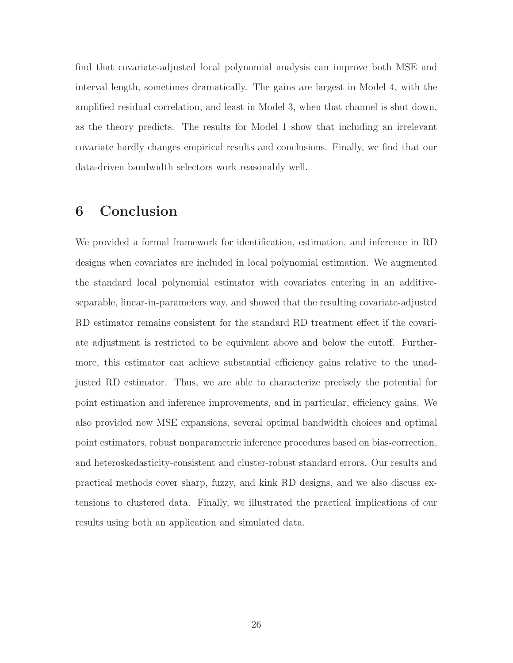find that covariate-adjusted local polynomial analysis can improve both MSE and interval length, sometimes dramatically. The gains are largest in Model 4, with the amplified residual correlation, and least in Model 3, when that channel is shut down, as the theory predicts. The results for Model 1 show that including an irrelevant covariate hardly changes empirical results and conclusions. Finally, we find that our data-driven bandwidth selectors work reasonably well.

## <span id="page-26-0"></span>6 Conclusion

We provided a formal framework for identification, estimation, and inference in RD designs when covariates are included in local polynomial estimation. We augmented the standard local polynomial estimator with covariates entering in an additiveseparable, linear-in-parameters way, and showed that the resulting covariate-adjusted RD estimator remains consistent for the standard RD treatment effect if the covariate adjustment is restricted to be equivalent above and below the cutoff. Furthermore, this estimator can achieve substantial efficiency gains relative to the unadjusted RD estimator. Thus, we are able to characterize precisely the potential for point estimation and inference improvements, and in particular, efficiency gains. We also provided new MSE expansions, several optimal bandwidth choices and optimal point estimators, robust nonparametric inference procedures based on bias-correction, and heteroskedasticity-consistent and cluster-robust standard errors. Our results and practical methods cover sharp, fuzzy, and kink RD designs, and we also discuss extensions to clustered data. Finally, we illustrated the practical implications of our results using both an application and simulated data.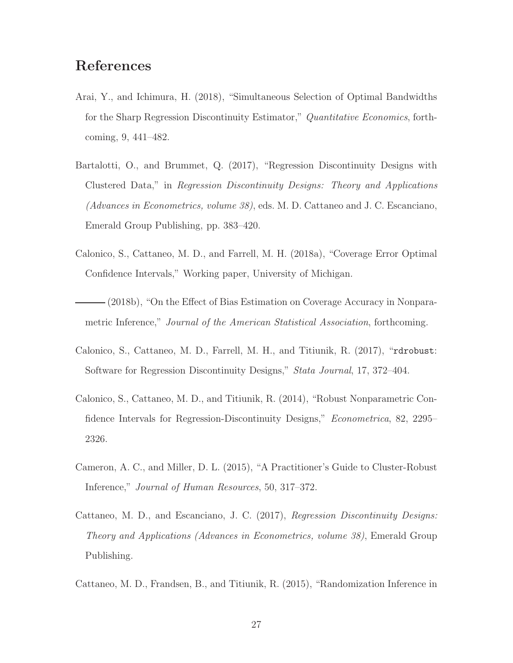## References

- <span id="page-27-4"></span>Arai, Y., and Ichimura, H. (2018), "Simultaneous Selection of Optimal Bandwidths for the Sharp Regression Discontinuity Estimator," Quantitative Economics, forthcoming, 9, 441–482.
- <span id="page-27-8"></span>Bartalotti, O., and Brummet, Q. (2017), "Regression Discontinuity Designs with Clustered Data," in Regression Discontinuity Designs: Theory and Applications (Advances in Econometrics, volume 38), eds. M. D. Cattaneo and J. C. Escanciano, Emerald Group Publishing, pp. 383–420.
- <span id="page-27-6"></span>Calonico, S., Cattaneo, M. D., and Farrell, M. H. (2018a), "Coverage Error Optimal Confidence Intervals," Working paper, University of Michigan.
- <span id="page-27-5"></span>(2018b), "On the Effect of Bias Estimation on Coverage Accuracy in Nonparametric Inference," Journal of the American Statistical Association, forthcoming.
- <span id="page-27-1"></span>Calonico, S., Cattaneo, M. D., Farrell, M. H., and Titiunik, R. (2017), "rdrobust: Software for Regression Discontinuity Designs," Stata Journal, 17, 372–404.
- <span id="page-27-3"></span>Calonico, S., Cattaneo, M. D., and Titiunik, R. (2014), "Robust Nonparametric Confidence Intervals for Regression-Discontinuity Designs," *Econometrica*, 82, 2295– 2326.
- <span id="page-27-7"></span>Cameron, A. C., and Miller, D. L. (2015), "A Practitioner's Guide to Cluster-Robust Inference," Journal of Human Resources, 50, 317–372.
- <span id="page-27-0"></span>Cattaneo, M. D., and Escanciano, J. C. (2017), Regression Discontinuity Designs: Theory and Applications (Advances in Econometrics, volume 38), Emerald Group Publishing.
- <span id="page-27-2"></span>Cattaneo, M. D., Frandsen, B., and Titiunik, R. (2015), "Randomization Inference in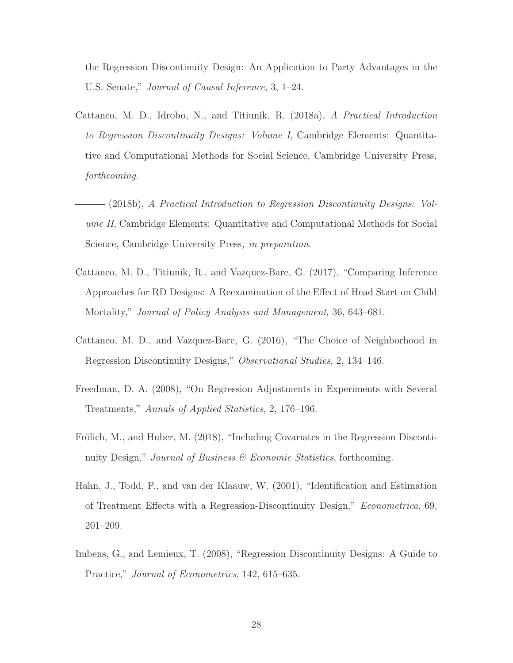the Regression Discontinuity Design: An Application to Party Advantages in the U.S. Senate," Journal of Causal Inference, 3, 1–24.

- <span id="page-28-2"></span>Cattaneo, M. D., Idrobo, N., and Titiunik, R. (2018a), A Practical Introduction to Regression Discontinuity Designs: Volume I, Cambridge Elements: Quantitative and Computational Methods for Social Science, Cambridge University Press, forthcoming.
- <span id="page-28-3"></span>(2018b), A Practical Introduction to Regression Discontinuity Designs: Volume II, Cambridge Elements: Quantitative and Computational Methods for Social Science, Cambridge University Press, in preparation.
- <span id="page-28-1"></span>Cattaneo, M. D., Titiunik, R., and Vazquez-Bare, G. (2017), "Comparing Inference Approaches for RD Designs: A Reexamination of the Effect of Head Start on Child Mortality," Journal of Policy Analysis and Management, 36, 643–681.
- <span id="page-28-7"></span>Cattaneo, M. D., and Vazquez-Bare, G. (2016), "The Choice of Neighborhood in Regression Discontinuity Designs," Observational Studies, 2, 134–146.
- <span id="page-28-6"></span>Freedman, D. A. (2008), "On Regression Adjustments in Experiments with Several Treatments," Annals of Applied Statistics, 2, 176–196.
- <span id="page-28-4"></span>Frölich, M., and Huber, M. (2018), "Including Covariates in the Regression Discontinuity Design," Journal of Business  $\mathscr B$  Economic Statistics, forthcoming.
- <span id="page-28-5"></span>Hahn, J., Todd, P., and van der Klaauw, W. (2001), "Identification and Estimation of Treatment Effects with a Regression-Discontinuity Design," Econometrica, 69, 201–209.
- <span id="page-28-0"></span>Imbens, G., and Lemieux, T. (2008), "Regression Discontinuity Designs: A Guide to Practice," Journal of Econometrics, 142, 615–635.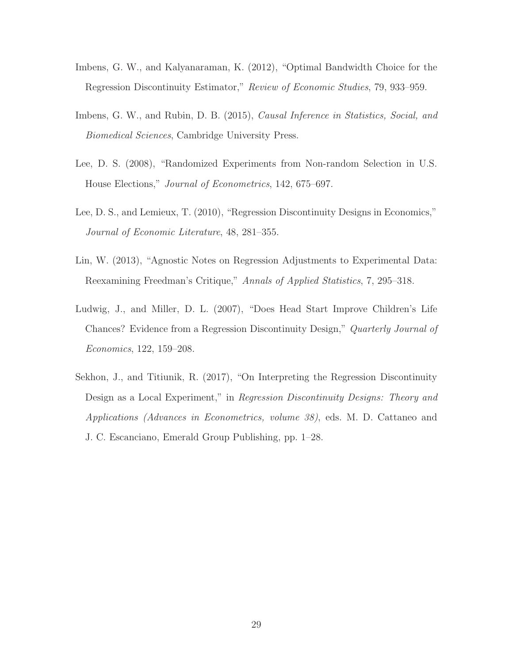- <span id="page-29-5"></span>Imbens, G. W., and Kalyanaraman, K. (2012), "Optimal Bandwidth Choice for the Regression Discontinuity Estimator," Review of Economic Studies, 79, 933–959.
- <span id="page-29-4"></span>Imbens, G. W., and Rubin, D. B. (2015), *Causal Inference in Statistics, Social, and* Biomedical Sciences, Cambridge University Press.
- <span id="page-29-1"></span>Lee, D. S. (2008), "Randomized Experiments from Non-random Selection in U.S. House Elections," Journal of Econometrics, 142, 675–697.
- <span id="page-29-0"></span>Lee, D. S., and Lemieux, T. (2010), "Regression Discontinuity Designs in Economics," Journal of Economic Literature, 48, 281–355.
- <span id="page-29-6"></span>Lin, W. (2013), "Agnostic Notes on Regression Adjustments to Experimental Data: Reexamining Freedman's Critique," Annals of Applied Statistics, 7, 295–318.
- <span id="page-29-2"></span>Ludwig, J., and Miller, D. L. (2007), "Does Head Start Improve Children's Life Chances? Evidence from a Regression Discontinuity Design," Quarterly Journal of Economics, 122, 159–208.
- <span id="page-29-3"></span>Sekhon, J., and Titiunik, R. (2017), "On Interpreting the Regression Discontinuity Design as a Local Experiment," in Regression Discontinuity Designs: Theory and Applications (Advances in Econometrics, volume 38), eds. M. D. Cattaneo and J. C. Escanciano, Emerald Group Publishing, pp. 1–28.